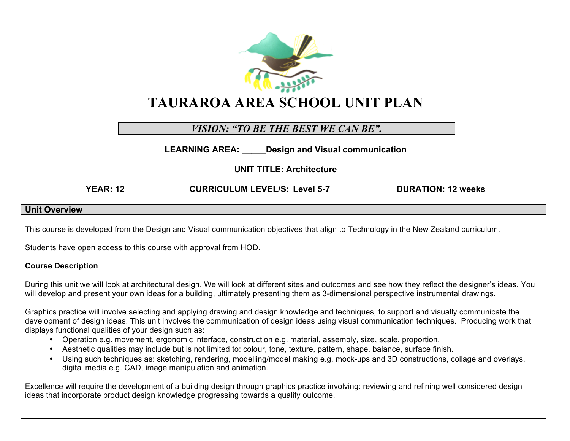

## *VISION: "TO BE THE BEST WE CAN BE".*

**LEARNING AREA: \_\_\_\_\_Design and Visual communication**

**UNIT TITLE: Architecture**

**YEAR: 12 CURRICULUM LEVEL/S: Level 5-7 DURATION: 12 weeks**

#### **Unit Overview**

This course is developed from the Design and Visual communication objectives that align to Technology in the New Zealand curriculum.

Students have open access to this course with approval from HOD.

#### **Course Description**

During this unit we will look at architectural design. We will look at different sites and outcomes and see how they reflect the designer's ideas. You will develop and present your own ideas for a building, ultimately presenting them as 3-dimensional perspective instrumental drawings.

Graphics practice will involve selecting and applying drawing and design knowledge and techniques, to support and visually communicate the development of design ideas. This unit involves the communication of design ideas using visual communication techniques. Producing work that displays functional qualities of your design such as:

- Operation e.g. movement, ergonomic interface, construction e.g. material, assembly, size, scale, proportion.
- Aesthetic qualities may include but is not limited to: colour, tone, texture, pattern, shape, balance, surface finish.
- Using such techniques as: sketching, rendering, modelling/model making e.g. mock-ups and 3D constructions, collage and overlays, digital media e.g. CAD, image manipulation and animation.

Excellence will require the development of a building design through graphics practice involving: reviewing and refining well considered design ideas that incorporate product design knowledge progressing towards a quality outcome.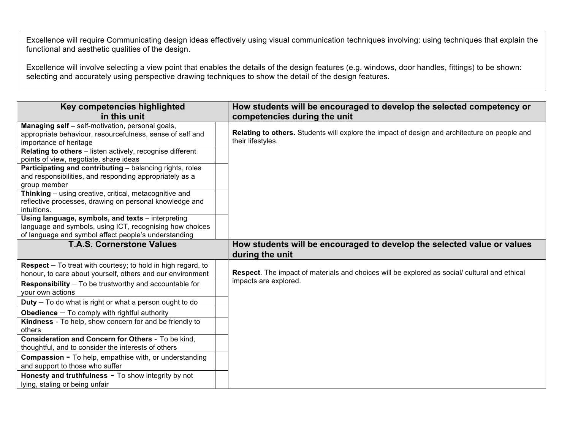Excellence will require Communicating design ideas effectively using visual communication techniques involving: using techniques that explain the functional and aesthetic qualities of the design.

Excellence will involve selecting a view point that enables the details of the design features (e.g. windows, door handles, fittings) to be shown: selecting and accurately using perspective drawing techniques to show the detail of the design features.

| Key competencies highlighted                                                                                                                                          | How students will be encouraged to develop the selected competency or                                              |
|-----------------------------------------------------------------------------------------------------------------------------------------------------------------------|--------------------------------------------------------------------------------------------------------------------|
| in this unit                                                                                                                                                          | competencies during the unit                                                                                       |
| Managing self - self-motivation, personal goals,<br>appropriate behaviour, resourcefulness, sense of self and<br>importance of heritage                               | Relating to others. Students will explore the impact of design and architecture on people and<br>their lifestyles. |
| Relating to others - listen actively, recognise different<br>points of view, negotiate, share ideas                                                                   |                                                                                                                    |
| Participating and contributing - balancing rights, roles<br>and responsibilities, and responding appropriately as a<br>group member                                   |                                                                                                                    |
| Thinking - using creative, critical, metacognitive and<br>reflective processes, drawing on personal knowledge and<br>intuitions.                                      |                                                                                                                    |
| Using language, symbols, and texts - interpreting<br>language and symbols, using ICT, recognising how choices<br>of language and symbol affect people's understanding |                                                                                                                    |
| <b>T.A.S. Cornerstone Values</b>                                                                                                                                      | How students will be encouraged to develop the selected value or values<br>during the unit                         |
| <b>Respect</b> $-$ To treat with courtesy; to hold in high regard, to<br>honour, to care about yourself, others and our environment                                   | Respect. The impact of materials and choices will be explored as social/ cultural and ethical                      |
| <b>Responsibility</b> $-$ To be trustworthy and accountable for<br>your own actions                                                                                   | impacts are explored.                                                                                              |
| $Duty - To do what is right or what a person ought to do$                                                                                                             |                                                                                                                    |
| <b>Obedience</b> $-$ To comply with rightful authority                                                                                                                |                                                                                                                    |
| Kindness - To help, show concern for and be friendly to<br>others                                                                                                     |                                                                                                                    |
| Consideration and Concern for Others - To be kind,<br>thoughtful, and to consider the interests of others                                                             |                                                                                                                    |
| <b>Compassion - To help, empathise with, or understanding</b><br>and support to those who suffer                                                                      |                                                                                                                    |
| Honesty and truthfulness - To show integrity by not<br>lying, staling or being unfair                                                                                 |                                                                                                                    |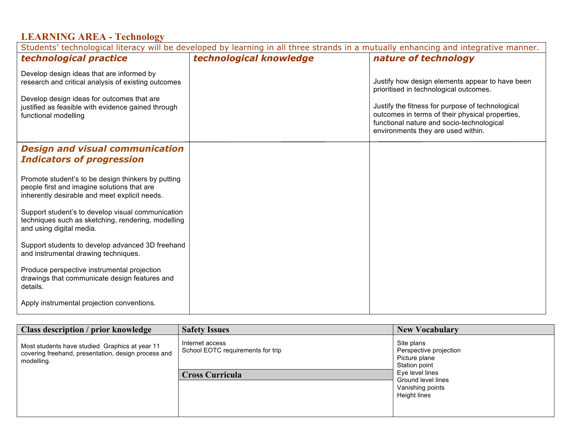## **LEARNING AREA - Technology**

| Students' technological literacy will be developed by learning in all three strands in a mutually enhancing and integrative manner.                |                         |                                                                                                                                                                                        |  |  |
|----------------------------------------------------------------------------------------------------------------------------------------------------|-------------------------|----------------------------------------------------------------------------------------------------------------------------------------------------------------------------------------|--|--|
| technological practice                                                                                                                             | technological knowledge | nature of technology                                                                                                                                                                   |  |  |
| Develop design ideas that are informed by<br>research and critical analysis of existing outcomes                                                   |                         | Justify how design elements appear to have been<br>prioritised in technological outcomes.                                                                                              |  |  |
| Develop design ideas for outcomes that are<br>justified as feasible with evidence gained through<br>functional modelling                           |                         | Justify the fitness for purpose of technological<br>outcomes in terms of their physical properties,<br>functional nature and socio-technological<br>environments they are used within. |  |  |
| <b>Design and visual communication</b>                                                                                                             |                         |                                                                                                                                                                                        |  |  |
| <b>Indicators of progression</b>                                                                                                                   |                         |                                                                                                                                                                                        |  |  |
| Promote student's to be design thinkers by putting<br>people first and imagine solutions that are<br>inherently desirable and meet explicit needs. |                         |                                                                                                                                                                                        |  |  |
| Support student's to develop visual communication<br>techniques such as sketching, rendering, modelling<br>and using digital media.                |                         |                                                                                                                                                                                        |  |  |
| Support students to develop advanced 3D freehand<br>and instrumental drawing techniques.                                                           |                         |                                                                                                                                                                                        |  |  |
| Produce perspective instrumental projection<br>drawings that communicate design features and<br>details.                                           |                         |                                                                                                                                                                                        |  |  |
| Apply instrumental projection conventions.                                                                                                         |                         |                                                                                                                                                                                        |  |  |

| Class description / prior knowledge                                                                                 | <b>Safety Issues</b>                                                           | <b>New Vocabulary</b>                                                                                                                               |
|---------------------------------------------------------------------------------------------------------------------|--------------------------------------------------------------------------------|-----------------------------------------------------------------------------------------------------------------------------------------------------|
| Most students have studied Graphics at year 11<br>covering freehand, presentation, design process and<br>modelling. | Internet access<br>School EOTC requirements for trip<br><b>Cross Curricula</b> | Site plans<br>Perspective projection<br>Picture plane<br>Station point<br>Eye level lines<br>Ground level lines<br>Vanishing points<br>Height lines |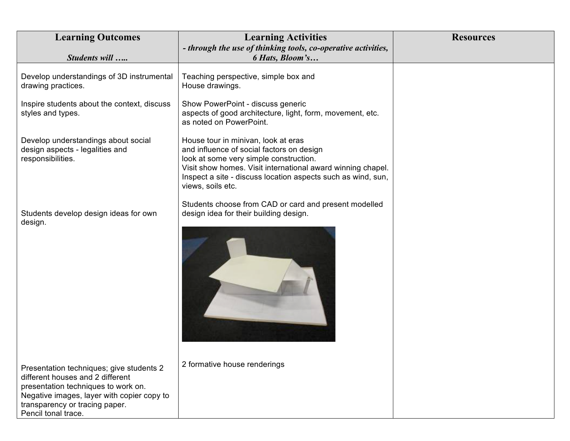| <b>Learning Outcomes</b>                                                                                                                                                                                                   | <b>Learning Activities</b><br>- through the use of thinking tools, co-operative activities,                                                                                                                                                                                    | <b>Resources</b> |
|----------------------------------------------------------------------------------------------------------------------------------------------------------------------------------------------------------------------------|--------------------------------------------------------------------------------------------------------------------------------------------------------------------------------------------------------------------------------------------------------------------------------|------------------|
| Students will                                                                                                                                                                                                              | 6 Hats, Bloom's                                                                                                                                                                                                                                                                |                  |
| Develop understandings of 3D instrumental<br>drawing practices.                                                                                                                                                            | Teaching perspective, simple box and<br>House drawings.                                                                                                                                                                                                                        |                  |
| Inspire students about the context, discuss<br>styles and types.                                                                                                                                                           | Show PowerPoint - discuss generic<br>aspects of good architecture, light, form, movement, etc.<br>as noted on PowerPoint.                                                                                                                                                      |                  |
| Develop understandings about social<br>design aspects - legalities and<br>responsibilities.                                                                                                                                | House tour in minivan, look at eras<br>and influence of social factors on design<br>look at some very simple construction.<br>Visit show homes. Visit international award winning chapel.<br>Inspect a site - discuss location aspects such as wind, sun,<br>views, soils etc. |                  |
| Students develop design ideas for own<br>design.                                                                                                                                                                           | Students choose from CAD or card and present modelled<br>design idea for their building design.                                                                                                                                                                                |                  |
| Presentation techniques; give students 2<br>different houses and 2 different<br>presentation techniques to work on.<br>Negative images, layer with copier copy to<br>transparency or tracing paper.<br>Pencil tonal trace. | 2 formative house renderings                                                                                                                                                                                                                                                   |                  |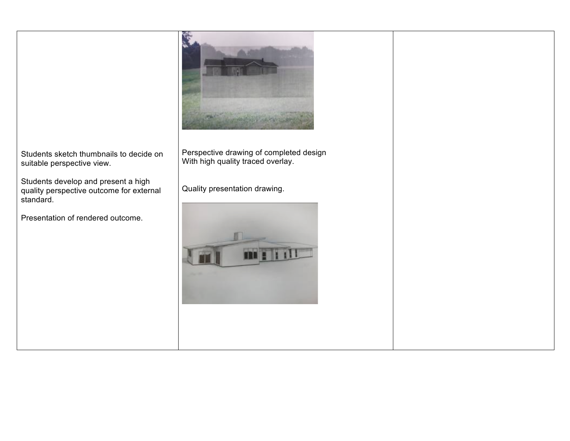

Students sketch thumbnails to decide on suitable perspective view.

Students develop and present a high quality perspective outcome for external standard.

Presentation of rendered outcome.

Perspective drawing of completed design With high quality traced overlay.

Quality presentation drawing.

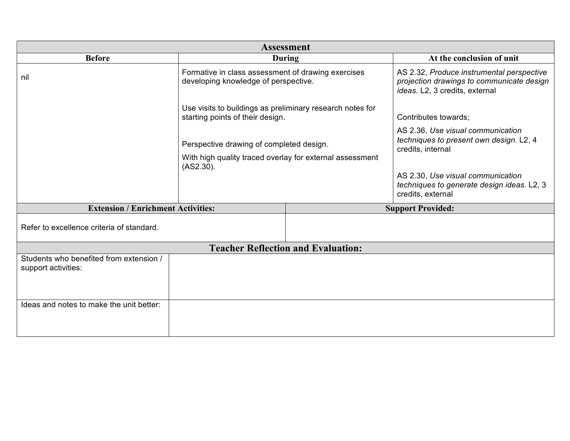| <b>Assessment</b>                                              |                                                                                                                   |                                           |                                                                                                                          |  |  |
|----------------------------------------------------------------|-------------------------------------------------------------------------------------------------------------------|-------------------------------------------|--------------------------------------------------------------------------------------------------------------------------|--|--|
| <b>Before</b>                                                  |                                                                                                                   | <b>During</b>                             | At the conclusion of unit                                                                                                |  |  |
| nil                                                            | Formative in class assessment of drawing exercises<br>developing knowledge of perspective.                        |                                           | AS 2.32, Produce instrumental perspective<br>projection drawings to communicate design<br>ideas. L2, 3 credits, external |  |  |
|                                                                | Use visits to buildings as preliminary research notes for<br>starting points of their design.                     |                                           | Contributes towards;                                                                                                     |  |  |
|                                                                | Perspective drawing of completed design.<br>With high quality traced overlay for external assessment<br>(AS2.30). |                                           | AS 2.36, Use visual communication<br>techniques to present own design. L2, 4<br>credits, internal                        |  |  |
|                                                                |                                                                                                                   |                                           | AS 2.30, Use visual communication<br>techniques to generate design ideas. L2, 3<br>credits, external                     |  |  |
| <b>Extension / Enrichment Activities:</b>                      |                                                                                                                   |                                           | <b>Support Provided:</b>                                                                                                 |  |  |
| Refer to excellence criteria of standard.                      |                                                                                                                   |                                           |                                                                                                                          |  |  |
|                                                                |                                                                                                                   | <b>Teacher Reflection and Evaluation:</b> |                                                                                                                          |  |  |
| Students who benefited from extension /<br>support activities: |                                                                                                                   |                                           |                                                                                                                          |  |  |
| Ideas and notes to make the unit better:                       |                                                                                                                   |                                           |                                                                                                                          |  |  |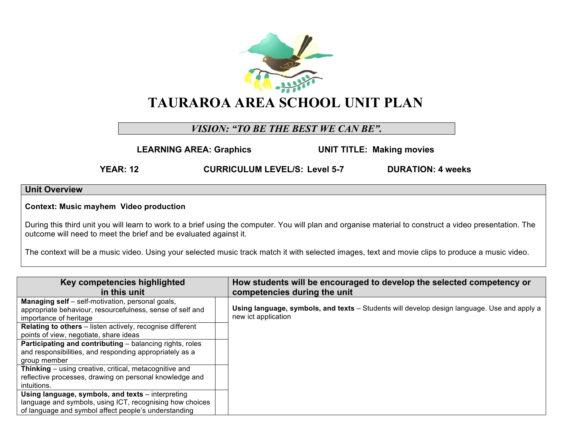

### *VISION: "TO BE THE BEST WE CAN BE".*

**LEARNING AREA: Graphics UNIT TITLE: Making movies**

**YEAR: 12 CURRICULUM LEVEL/S: Level 5-7 DURATION: 4 weeks**

### **Unit Overview**

**Context: Music mayhem Video production**

During this third unit you will learn to work to a brief using the computer. You will plan and organise material to construct a video presentation. The outcome will need to meet the brief and be evaluated against it.

The context will be a music video. Using your selected music track match it with selected images, text and movie clips to produce a music video.

| Key competencies highlighted<br>in this unit                                                                                                   | How students will be encouraged to develop the selected competency or<br>competencies during the unit              |
|------------------------------------------------------------------------------------------------------------------------------------------------|--------------------------------------------------------------------------------------------------------------------|
| <b>Managing self</b> – self-motivation, personal goals,<br>appropriate behaviour, resourcefulness, sense of self and<br>importance of heritage | Using language, symbols, and texts – Students will develop design language. Use and apply a<br>new ict application |
| Relating to others - listen actively, recognise different                                                                                      |                                                                                                                    |
| points of view, negotiate, share ideas                                                                                                         |                                                                                                                    |
| <b>Participating and contributing</b> – balancing rights, roles                                                                                |                                                                                                                    |
| and responsibilities, and responding appropriately as a                                                                                        |                                                                                                                    |
| group member                                                                                                                                   |                                                                                                                    |
| Thinking - using creative, critical, metacognitive and                                                                                         |                                                                                                                    |
| reflective processes, drawing on personal knowledge and                                                                                        |                                                                                                                    |
| intuitions.                                                                                                                                    |                                                                                                                    |
| Using language, symbols, and texts – interpreting                                                                                              |                                                                                                                    |
| language and symbols, using ICT, recognising how choices                                                                                       |                                                                                                                    |
| of language and symbol affect people's understanding                                                                                           |                                                                                                                    |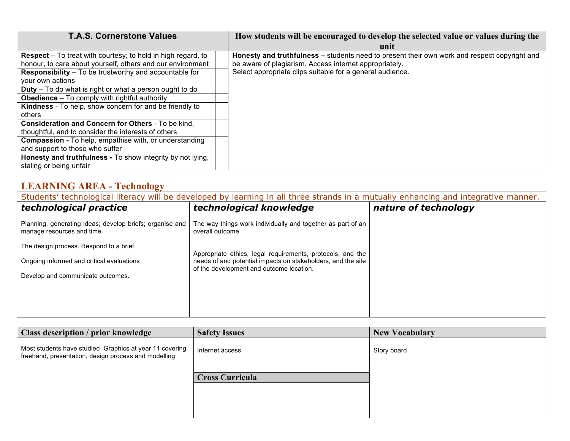| <b>T.A.S. Cornerstone Values</b>                                    | How students will be encouraged to develop the selected value or values during the           |
|---------------------------------------------------------------------|----------------------------------------------------------------------------------------------|
|                                                                     | unit                                                                                         |
| <b>Respect</b> – To treat with courtesy; to hold in high regard, to | Honesty and truthfulness – students need to present their own work and respect copyright and |
| honour, to care about yourself, others and our environment          | be aware of plagiarism. Access internet appropriately.                                       |
| <b>Responsibility</b> – To be trustworthy and accountable for       | Select appropriate clips suitable for a general audience.                                    |
| vour own actions                                                    |                                                                                              |
| <b>Duty</b> – To do what is right or what a person ought to do      |                                                                                              |
| <b>Obedience</b> – To comply with rightful authority                |                                                                                              |
| Kindness - To help, show concern for and be friendly to             |                                                                                              |
| others                                                              |                                                                                              |
| Consideration and Concern for Others - To be kind,                  |                                                                                              |
| thoughtful, and to consider the interests of others                 |                                                                                              |
| <b>Compassion - To help, empathise with, or understanding</b>       |                                                                                              |
| and support to those who suffer                                     |                                                                                              |
| Honesty and truthfulness - To show integrity by not lying,          |                                                                                              |
| staling or being unfair                                             |                                                                                              |

# **LEARNING AREA - Technology**

| Students' technological literacy will be developed by learning in all three strands in a mutually enhancing and integrative manner. |                                                                                                                                                                        |                      |  |  |
|-------------------------------------------------------------------------------------------------------------------------------------|------------------------------------------------------------------------------------------------------------------------------------------------------------------------|----------------------|--|--|
| technological practice                                                                                                              | technological knowledge                                                                                                                                                | nature of technology |  |  |
| Planning, generating ideas; develop briefs; organise and<br>manage resources and time                                               | The way things work individually and together as part of an<br>overall outcome                                                                                         |                      |  |  |
| The design process. Respond to a brief.                                                                                             |                                                                                                                                                                        |                      |  |  |
| Ongoing informed and critical evaluations                                                                                           | Appropriate ethics, legal requirements, protocols, and the<br>needs of and potential impacts on stakeholders, and the site<br>of the development and outcome location. |                      |  |  |
| Develop and communicate outcomes.                                                                                                   |                                                                                                                                                                        |                      |  |  |
|                                                                                                                                     |                                                                                                                                                                        |                      |  |  |
|                                                                                                                                     |                                                                                                                                                                        |                      |  |  |
|                                                                                                                                     |                                                                                                                                                                        |                      |  |  |

| <b>Class description / prior knowledge</b>                                                                      | <b>Safety Issues</b>   | <b>New Vocabulary</b> |
|-----------------------------------------------------------------------------------------------------------------|------------------------|-----------------------|
| Most students have studied Graphics at year 11 covering<br>freehand, presentation, design process and modelling | Internet access        | Story board           |
|                                                                                                                 | <b>Cross Curricula</b> |                       |
|                                                                                                                 |                        |                       |
|                                                                                                                 |                        |                       |